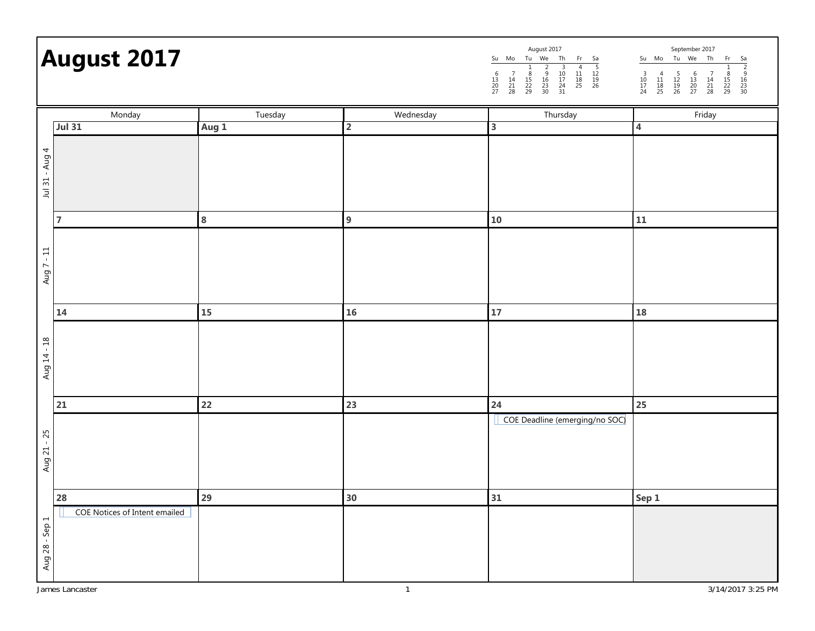## **August 2017**

| August 2017                                        |                |                     |                     |                      |                     |                |                | September 2017      |                |                     |                |                     |                     |  |  |
|----------------------------------------------------|----------------|---------------------|---------------------|----------------------|---------------------|----------------|----------------|---------------------|----------------|---------------------|----------------|---------------------|---------------------|--|--|
| Su                                                 | Mo             | Tu                  | We                  | Th                   | Fr                  | Sa             | Su             | Mo                  | Tu             | We                  | Th             | Fr                  | Sa                  |  |  |
| 6<br>$\begin{array}{c} 13 \\ 20 \end{array}$<br>27 | 14<br>21<br>28 | 8<br>15<br>22<br>29 | 9<br>16<br>23<br>30 | 10<br>17<br>24<br>31 | 4<br>11<br>18<br>25 | 12<br>19<br>26 | 10<br>17<br>24 | 4<br>11<br>18<br>25 | 12<br>19<br>26 | b<br>13<br>20<br>27 | 14<br>21<br>28 | 8<br>15<br>22<br>29 | 9<br>16<br>23<br>30 |  |  |
| Thursday                                           |                |                     |                     |                      |                     |                |                |                     |                | Friday              |                |                     |                     |  |  |

|                | Monday                        | Tuesday | Wednesday      | Thursday                       | Friday            |
|----------------|-------------------------------|---------|----------------|--------------------------------|-------------------|
|                | <b>Jul 31</b>                 | Aug 1   | $\overline{2}$ | $\overline{\mathbf{3}}$        | $\overline{4}$    |
| Jul 31 - Aug 4 |                               |         |                |                                |                   |
|                | $\overline{7}$                | 8       | 9              | ${\bf 10}$                     | 11                |
| Aug $7 - 11$   |                               |         |                |                                |                   |
|                | 14                            | 15      | 16             | ${\bf 17}$                     | ${\bf 18}$        |
| Aug 14 - 18    |                               |         |                |                                |                   |
|                | 21                            | 22      | 23             | 24                             | 25                |
| Aug 21 - 25    |                               |         |                | COE Deadline (emerging/no SOC) |                   |
|                | 28                            | 29      | 30             | 31                             | Sep 1             |
| Aug 28 - Sep 1 | COE Notices of Intent emailed |         |                |                                |                   |
|                | James Lancaster               |         | $\mathbf{1}$   |                                | 3/14/2017 3:25 PM |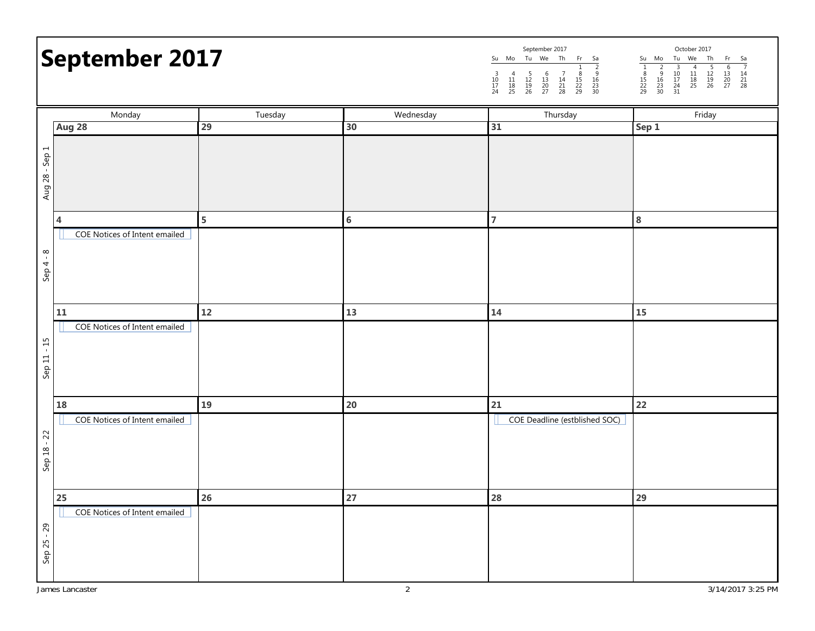## **September 2017**

|          |               |                | September 2017 |                |                     |                     |                     |                     |                | October 2017  |          |                |                |
|----------|---------------|----------------|----------------|----------------|---------------------|---------------------|---------------------|---------------------|----------------|---------------|----------|----------------|----------------|
| Su       | Mo            | Тu             | We             | Th             | Fr                  | Sa                  | Su                  | Mo                  | Τu             | We            | Th       | Fr             | Sa             |
| 10<br>24 | 4<br>18<br>25 | 12<br>19<br>26 | 13<br>20<br>27 | 14<br>21<br>28 | 8<br>15<br>22<br>29 | o<br>16<br>23<br>30 | 8<br>15<br>22<br>29 | a<br>16<br>23<br>30 | 10<br>24<br>31 | 4<br>18<br>25 | 19<br>26 | 13<br>20<br>27 | 14<br>21<br>28 |

|                | Monday                        | Tuesday<br>Wednesday |                | Thursday                      | Friday            |
|----------------|-------------------------------|----------------------|----------------|-------------------------------|-------------------|
|                | Aug 28                        | 29                   | 30             | 31                            | Sep 1             |
| Aug 28 - Sep 1 |                               |                      |                |                               |                   |
|                | 4                             | 5                    | $\bf 6$        | $\overline{7}$                | $\bf 8$           |
| $Sep 4 - 8$    | COE Notices of Intent emailed |                      |                |                               |                   |
|                | ${\bf 11}$                    | 12                   | 13             | 14                            | ${\bf 15}$        |
| Sep 11 - 15    | COE Notices of Intent emailed |                      |                |                               |                   |
|                | 18                            | 19                   | 20             | ${\bf 21}$                    | 22                |
| Sep 18 - 22    | COE Notices of Intent emailed |                      |                | COE Deadline (estblished SOC) |                   |
|                | 25                            | 26                   | 27             | 28                            | 29                |
| Sep 25 - 29    | COE Notices of Intent emailed |                      |                |                               |                   |
|                | James Lancaster               |                      | $\overline{2}$ |                               | 3/14/2017 3:25 PM |